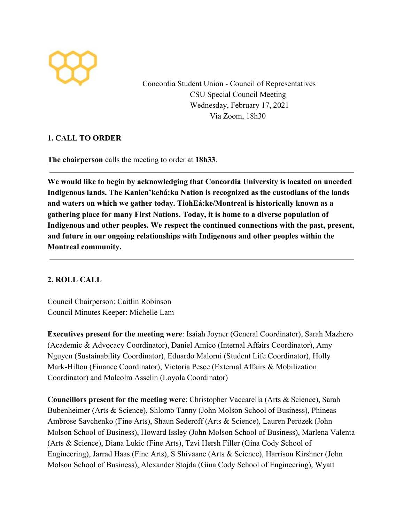

Concordia Student Union - Council of Representatives CSU Special Council Meeting Wednesday, February 17, 2021 Via Zoom, 18h30

## **1. CALL TO ORDER**

**The chairperson** calls the meeting to order at **18h33**.

**We would like to begin by acknowledging that Concordia University is located on unceded Indigenous lands. The Kanien'kehá:ka Nation is recognized as the custodians of the lands and waters on which we gather today. TiohEá:ke/Montreal is historically known as a gathering place for many First Nations. Today, it is home to a diverse population of Indigenous and other peoples. We respect the continued connections with the past, present, and future in our ongoing relationships with Indigenous and other peoples within the Montreal community.**

## **2. ROLL CALL**

Council Chairperson: Caitlin Robinson Council Minutes Keeper: Michelle Lam

**Executives present for the meeting were**: Isaiah Joyner (General Coordinator), Sarah Mazhero (Academic & Advocacy Coordinator), Daniel Amico (Internal Affairs Coordinator), Amy Nguyen (Sustainability Coordinator), Eduardo Malorni (Student Life Coordinator), Holly Mark-Hilton (Finance Coordinator), Victoria Pesce (External Affairs & Mobilization Coordinator) and Malcolm Asselin (Loyola Coordinator)

**Councillors present for the meeting were**: Christopher Vaccarella (Arts & Science), Sarah Bubenheimer (Arts & Science), Shlomo Tanny (John Molson School of Business), Phineas Ambrose Savchenko (Fine Arts), Shaun Sederoff (Arts & Science), Lauren Perozek (John Molson School of Business), Howard Issley (John Molson School of Business), Marlena Valenta (Arts & Science), Diana Lukic (Fine Arts), Tzvi Hersh Filler (Gina Cody School of Engineering), Jarrad Haas (Fine Arts), S Shivaane (Arts & Science), Harrison Kirshner (John Molson School of Business), Alexander Stojda (Gina Cody School of Engineering), Wyatt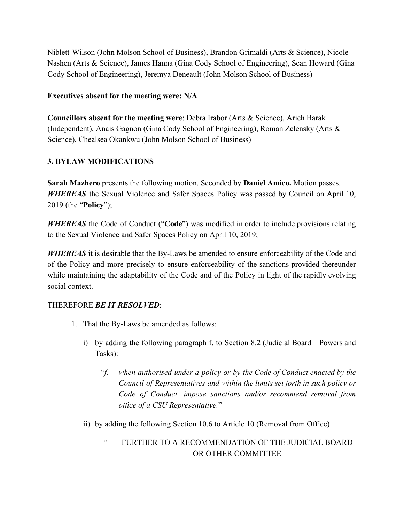Niblett-Wilson (John Molson School of Business), Brandon Grimaldi (Arts & Science), Nicole Nashen (Arts & Science), James Hanna (Gina Cody School of Engineering), Sean Howard (Gina Cody School of Engineering), Jeremya Deneault (John Molson School of Business)

#### **Executives absent for the meeting were: N/A**

**Councillors absent for the meeting were**: Debra Irabor (Arts & Science), Arieh Barak (Independent), Anais Gagnon (Gina Cody School of Engineering), Roman Zelensky (Arts & Science), Chealsea Okankwu (John Molson School of Business)

## **3. BYLAW MODIFICATIONS**

**Sarah Mazhero** presents the following motion. Seconded by **Daniel Amico.** Motion passes. *WHEREAS* the Sexual Violence and Safer Spaces Policy was passed by Council on April 10, 2019 (the "**Policy**");

*WHEREAS* the Code of Conduct ("**Code**") was modified in order to include provisions relating to the Sexual Violence and Safer Spaces Policy on April 10, 2019;

*WHEREAS* it is desirable that the By-Laws be amended to ensure enforceability of the Code and of the Policy and more precisely to ensure enforceability of the sanctions provided thereunder while maintaining the adaptability of the Code and of the Policy in light of the rapidly evolving social context.

## THEREFORE *BE IT RESOLVED*:

- 1. That the By-Laws be amended as follows:
	- i) by adding the following paragraph f. to Section 8.2 (Judicial Board Powers and Tasks):
		- "*f. when authorised under a policy or by the Code of Conduct enacted by the Council of Representatives and within the limits set forth in such policy or Code of Conduct, impose sanctions and/or recommend removal from office of a CSU Representative.*"
	- ii) by adding the following Section 10.6 to Article 10 (Removal from Office)
		- " FURTHER TO A RECOMMENDATION OF THE JUDICIAL BOARD OR OTHER COMMITTEE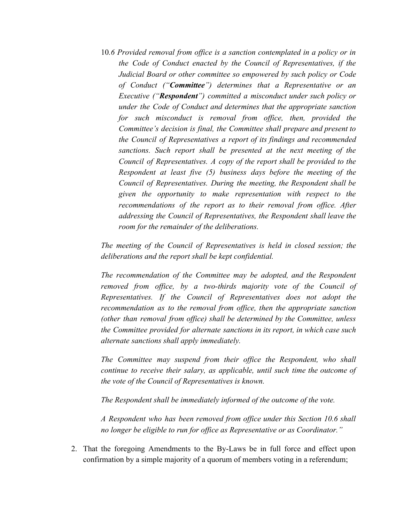10*.6 Provided removal from office is a sanction contemplated in a policy or in the Code of Conduct enacted by the Council of Representatives, if the Judicial Board or other committee so empowered by such policy or Code of Conduct ("Committee") determines that a Representative or an Executive ("Respondent") committed a misconduct under such policy or under the Code of Conduct and determines that the appropriate sanction for such misconduct is removal from office, then, provided the Committee's decision is final, the Committee shall prepare and present to the Council of Representatives a report of its findings and recommended sanctions. Such report shall be presented at the next meeting of the Council of Representatives. A copy of the report shall be provided to the Respondent at least five (5) business days before the meeting of the Council of Representatives. During the meeting, the Respondent shall be given the opportunity to make representation with respect to the recommendations of the report as to their removal from office. After addressing the Council of Representatives, the Respondent shall leave the room for the remainder of the deliberations.*

*The meeting of the Council of Representatives is held in closed session; the deliberations and the report shall be kept confidential.*

*The recommendation of the Committee may be adopted, and the Respondent removed from office, by a two-thirds majority vote of the Council of Representatives. If the Council of Representatives does not adopt the recommendation as to the removal from office, then the appropriate sanction (other than removal from office) shall be determined by the Committee, unless the Committee provided for alternate sanctions in its report, in which case such alternate sanctions shall apply immediately.*

*The Committee may suspend from their office the Respondent, who shall continue to receive their salary, as applicable, until such time the outcome of the vote of the Council of Representatives is known.*

*The Respondent shall be immediately informed of the outcome of the vote.*

*A Respondent who has been removed from office under this Section 10.6 shall no longer be eligible to run for office as Representative or as Coordinator."*

2. That the foregoing Amendments to the By-Laws be in full force and effect upon confirmation by a simple majority of a quorum of members voting in a referendum;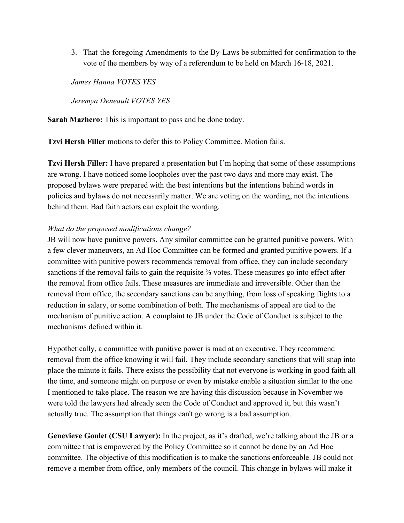3. That the foregoing Amendments to the By-Laws be submitted for confirmation to the vote of the members by way of a referendum to be held on March 16-18, 2021.

*James Hanna VOTES YES*

*Jeremya Deneault VOTES YES*

**Sarah Mazhero:** This is important to pass and be done today.

**Tzvi Hersh Filler** motions to defer this to Policy Committee. Motion fails.

**Tzvi Hersh Filler:** I have prepared a presentation but I'm hoping that some of these assumptions are wrong. I have noticed some loopholes over the past two days and more may exist. The proposed bylaws were prepared with the best intentions but the intentions behind words in policies and bylaws do not necessarily matter. We are voting on the wording, not the intentions behind them. Bad faith actors can exploit the wording.

#### *What do the proposed modifications change?*

JB will now have punitive powers. Any similar committee can be granted punitive powers. With a few clever maneuvers, an Ad Hoc Committee can be formed and granted punitive powers. If a committee with punitive powers recommends removal from office, they can include secondary sanctions if the removal fails to gain the requisite ⅔ votes. These measures go into effect after the removal from office fails. These measures are immediate and irreversible. Other than the removal from office, the secondary sanctions can be anything, from loss of speaking flights to a reduction in salary, or some combination of both. The mechanisms of appeal are tied to the mechanism of punitive action. A complaint to JB under the Code of Conduct is subject to the mechanisms defined within it.

Hypothetically, a committee with punitive power is mad at an executive. They recommend removal from the office knowing it will fail. They include secondary sanctions that will snap into place the minute it fails. There exists the possibility that not everyone is working in good faith all the time, and someone might on purpose or even by mistake enable a situation similar to the one I mentioned to take place. The reason we are having this discussion because in November we were told the lawyers had already seen the Code of Conduct and approved it, but this wasn't actually true. The assumption that things can't go wrong is a bad assumption.

**Genevieve Goulet (CSU Lawyer):** In the project, as it's drafted, we're talking about the JB or a committee that is empowered by the Policy Committee so it cannot be done by an Ad Hoc committee. The objective of this modification is to make the sanctions enforceable. JB could not remove a member from office, only members of the council. This change in bylaws will make it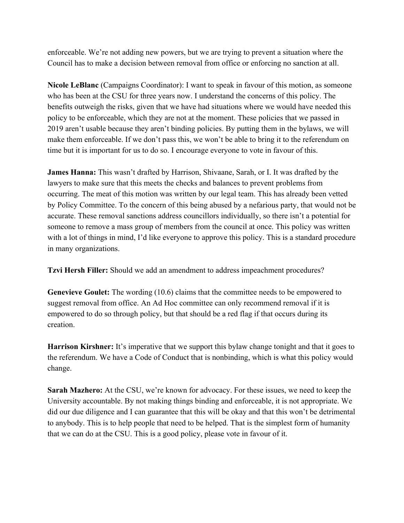enforceable. We're not adding new powers, but we are trying to prevent a situation where the Council has to make a decision between removal from office or enforcing no sanction at all.

**Nicole LeBlanc** (Campaigns Coordinator): I want to speak in favour of this motion, as someone who has been at the CSU for three years now. I understand the concerns of this policy. The benefits outweigh the risks, given that we have had situations where we would have needed this policy to be enforceable, which they are not at the moment. These policies that we passed in 2019 aren't usable because they aren't binding policies. By putting them in the bylaws, we will make them enforceable. If we don't pass this, we won't be able to bring it to the referendum on time but it is important for us to do so. I encourage everyone to vote in favour of this.

**James Hanna:** This wasn't drafted by Harrison, Shivaane, Sarah, or I. It was drafted by the lawyers to make sure that this meets the checks and balances to prevent problems from occurring. The meat of this motion was written by our legal team. This has already been vetted by Policy Committee. To the concern of this being abused by a nefarious party, that would not be accurate. These removal sanctions address councillors individually, so there isn't a potential for someone to remove a mass group of members from the council at once. This policy was written with a lot of things in mind, I'd like everyone to approve this policy. This is a standard procedure in many organizations.

**Tzvi Hersh Filler:** Should we add an amendment to address impeachment procedures?

**Genevieve Goulet:** The wording (10.6) claims that the committee needs to be empowered to suggest removal from office. An Ad Hoc committee can only recommend removal if it is empowered to do so through policy, but that should be a red flag if that occurs during its creation.

**Harrison Kirshner:** It's imperative that we support this bylaw change tonight and that it goes to the referendum. We have a Code of Conduct that is nonbinding, which is what this policy would change.

**Sarah Mazhero:** At the CSU, we're known for advocacy. For these issues, we need to keep the University accountable. By not making things binding and enforceable, it is not appropriate. We did our due diligence and I can guarantee that this will be okay and that this won't be detrimental to anybody. This is to help people that need to be helped. That is the simplest form of humanity that we can do at the CSU. This is a good policy, please vote in favour of it.